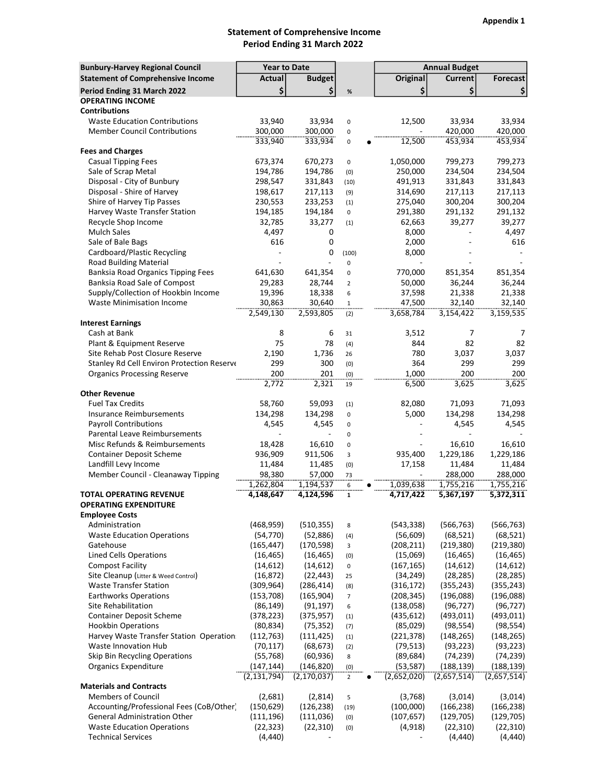## Statement of Comprehensive Income Period Ending 31 March 2022

| <b>Bunbury-Harvey Regional Council</b>                             | <b>Year to Date</b>    |                            |                       | <b>Annual Budget</b>     |                           |                           |  |
|--------------------------------------------------------------------|------------------------|----------------------------|-----------------------|--------------------------|---------------------------|---------------------------|--|
| <b>Statement of Comprehensive Income</b>                           | Actual                 | <b>Budget</b>              |                       | <b>Original</b>          | <b>Current</b>            | Forecast                  |  |
| Period Ending 31 March 2022                                        | \$                     | \$                         | $\%$                  | \$                       | \$                        | \$                        |  |
| <b>OPERATING INCOME</b>                                            |                        |                            |                       |                          |                           |                           |  |
| <b>Contributions</b>                                               |                        |                            |                       |                          |                           |                           |  |
| <b>Waste Education Contributions</b>                               | 33,940                 | 33,934                     | $\mathsf 0$           | 12,500                   | 33,934                    | 33,934                    |  |
| <b>Member Council Contributions</b>                                | 300,000                | 300,000                    | 0                     |                          | 420,000                   | 420,000                   |  |
|                                                                    | 333,940                | 333,934                    | $\pmb{0}$             | 12,500                   | 453,934                   | 453,934                   |  |
| <b>Fees and Charges</b>                                            |                        |                            |                       |                          |                           |                           |  |
| <b>Casual Tipping Fees</b>                                         | 673,374                | 670,273                    | $\mathsf 0$           | 1,050,000                | 799,273                   | 799,273                   |  |
| Sale of Scrap Metal                                                | 194,786                | 194,786                    | (0)                   | 250,000                  | 234,504                   | 234,504                   |  |
| Disposal - City of Bunbury                                         | 298,547                | 331,843                    | (10)                  | 491,913                  | 331,843                   | 331,843                   |  |
| Disposal - Shire of Harvey                                         | 198,617                | 217,113                    | (9)                   | 314,690                  | 217,113                   | 217,113                   |  |
| Shire of Harvey Tip Passes                                         | 230,553                | 233,253                    | (1)                   | 275,040                  | 300,204                   | 300,204                   |  |
| Harvey Waste Transfer Station                                      | 194,185                | 194,184                    | 0                     | 291,380                  | 291,132                   | 291,132                   |  |
| Recycle Shop Income                                                | 32,785                 | 33,277                     | (1)                   | 62,663                   | 39,277                    | 39,277                    |  |
| <b>Mulch Sales</b>                                                 | 4,497                  | 0                          |                       | 8,000                    |                           | 4,497                     |  |
| Sale of Bale Bags                                                  | 616                    | 0                          |                       | 2,000                    |                           | 616                       |  |
| Cardboard/Plastic Recycling                                        | $\overline{a}$         | 0                          | (100)                 | 8,000                    |                           |                           |  |
| <b>Road Building Material</b>                                      |                        |                            | 0                     |                          |                           |                           |  |
| Banksia Road Organics Tipping Fees<br>Banksia Road Sale of Compost | 641,630                | 641,354<br>28,744          | $\mathsf 0$           | 770,000                  | 851,354<br>36,244         | 851,354<br>36,244         |  |
| Supply/Collection of Hookbin Income                                | 29,283<br>19,396       | 18,338                     | $\overline{2}$<br>6   | 50,000<br>37,598         | 21,338                    | 21,338                    |  |
| Waste Minimisation Income                                          | 30,863                 | 30,640                     | $\mathbf{1}$          | 47,500                   | 32,140                    | 32,140                    |  |
|                                                                    | 2,549,130              | 2,593,805                  | (2)                   | 3,658,784                | 3,154,422                 | 3,159,535                 |  |
| <b>Interest Earnings</b>                                           |                        |                            |                       |                          |                           |                           |  |
| Cash at Bank                                                       | 8                      | 6                          | 31                    | 3,512                    | 7                         | 7                         |  |
| Plant & Equipment Reserve                                          | 75                     | 78                         | (4)                   | 844                      | 82                        | 82                        |  |
| Site Rehab Post Closure Reserve                                    | 2,190                  | 1,736                      | 26                    | 780                      | 3,037                     | 3,037                     |  |
| Stanley Rd Cell Environ Protection Reserve                         | 299                    | 300                        | (0)                   | 364                      | 299                       | 299                       |  |
| <b>Organics Processing Reserve</b>                                 | 200                    | 201                        | (0)                   | 1,000                    | 200                       | 200                       |  |
|                                                                    | 2,772                  | 2,321                      | 19                    | 6,500                    | 3,625                     | 3,625                     |  |
| <b>Other Revenue</b>                                               |                        |                            |                       |                          |                           |                           |  |
| <b>Fuel Tax Credits</b>                                            | 58,760                 | 59,093                     | (1)                   | 82,080                   | 71,093                    | 71,093                    |  |
| <b>Insurance Reimbursements</b>                                    | 134,298                | 134,298                    | 0                     | 5,000                    | 134,298                   | 134,298                   |  |
| <b>Payroll Contributions</b>                                       | 4,545                  | 4,545                      | 0                     |                          | 4,545                     | 4,545                     |  |
| Parental Leave Reimbursements                                      |                        |                            | $\pmb{0}$             |                          |                           |                           |  |
| Misc Refunds & Reimbursements                                      | 18,428                 | 16,610                     | 0                     |                          | 16,610                    | 16,610                    |  |
| <b>Container Deposit Scheme</b>                                    | 936,909                | 911,506                    | 3                     | 935,400                  | 1,229,186                 | 1,229,186                 |  |
| Landfill Levy Income                                               | 11,484<br>98,380       | 11,485<br>57,000           | (0)<br>73             | 17,158                   | 11,484<br>288,000         | 11,484<br>288,000         |  |
| Member Council - Cleanaway Tipping                                 | 1,262,804              | 1,194,537                  | 6                     | 1,039,638                | 1,755,216                 | 1,755,216                 |  |
| <b>TOTAL OPERATING REVENUE</b>                                     | 4,148,647              | 4,124,596                  | 1                     | 4,717,422                | 5,367,197                 | 5,372,311                 |  |
| OPERATING EXPENDITURE                                              |                        |                            |                       |                          |                           |                           |  |
| <b>Employee Costs</b>                                              |                        |                            |                       |                          |                           |                           |  |
| Administration                                                     | (468, 959)             | (510, 355)                 | 8                     | (543, 338)               | (566, 763)                | (566, 763)                |  |
| <b>Waste Education Operations</b>                                  | (54, 770)              | (52,886)                   | (4)                   | (56, 609)                | (68, 521)                 | (68, 521)                 |  |
| Gatehouse                                                          | (165, 447)             | (170, 598)                 | 3                     | (208, 211)               | (219, 380)                | (219, 380)                |  |
| <b>Lined Cells Operations</b>                                      | (16, 465)              | (16, 465)                  | (0)                   | (15,069)                 | (16, 465)                 | (16, 465)                 |  |
| <b>Compost Facility</b>                                            | (14, 612)              | (14, 612)                  | 0                     | (167, 165)               | (14, 612)                 | (14, 612)                 |  |
| Site Cleanup (Litter & Weed Control)                               | (16, 872)              | (22, 443)                  | 25                    | (34, 249)                | (28, 285)                 | (28, 285)                 |  |
| <b>Waste Transfer Station</b>                                      | (309, 964)             | (286, 414)                 | (8)                   | (316, 172)               | (355, 243)                | (355, 243)                |  |
| <b>Earthworks Operations</b>                                       | (153, 708)             | (165, 904)                 | $\overline{7}$        | (208, 345)               | (196,088)                 | (196,088)                 |  |
| Site Rehabilitation                                                | (86, 149)              | (91, 197)                  | 6                     | (138,058)                | (96, 727)                 | (96, 727)                 |  |
| <b>Container Deposit Scheme</b>                                    | (378, 223)             | (375, 957)                 | (1)                   | (435, 612)               | (493, 011)                | (493, 011)                |  |
| <b>Hookbin Operations</b>                                          | (80, 834)              | (75, 352)                  | (7)                   | (85,029)                 | (98, 554)                 | (98, 554)                 |  |
| Harvey Waste Transfer Station Operation                            | (112, 763)             | (111, 425)                 | (1)                   | (221, 378)               | (148, 265)                | (148, 265)                |  |
| Waste Innovation Hub<br>Skip Bin Recycling Operations              | (70, 117)<br>(55, 768) | (68, 673)<br>(60, 936)     | (2)<br>8              | (79, 513)<br>(89, 684)   | (93, 223)<br>(74, 239)    | (93, 223)<br>(74, 239)    |  |
| <b>Organics Expenditure</b>                                        | (147, 144)             |                            |                       |                          |                           |                           |  |
|                                                                    | (2, 131, 794)          | (146,820)<br>(2, 170, 037) | (0)<br>$\overline{2}$ | (53, 587)<br>(2,652,020) | (188, 139)<br>(2,657,514) | (188, 139)<br>(2,657,514) |  |
| <b>Materials and Contracts</b>                                     |                        |                            |                       |                          |                           |                           |  |
| <b>Members of Council</b>                                          | (2,681)                | (2,814)                    | 5                     | (3,768)                  | (3,014)                   | (3,014)                   |  |
| Accounting/Professional Fees (CoB/Other)                           | (150, 629)             | (126, 238)                 | (19)                  | (100,000)                | (166, 238)                | (166, 238)                |  |
| <b>General Administration Other</b>                                | (111, 196)             | (111,036)                  | (0)                   | (107, 657)               | (129, 705)                | (129, 705)                |  |
| <b>Waste Education Operations</b>                                  | (22, 323)              | (22, 310)                  | (0)                   | (4, 918)                 | (22, 310)                 | (22, 310)                 |  |
| <b>Technical Services</b>                                          | (4, 440)               |                            |                       |                          | (4, 440)                  | (4, 440)                  |  |